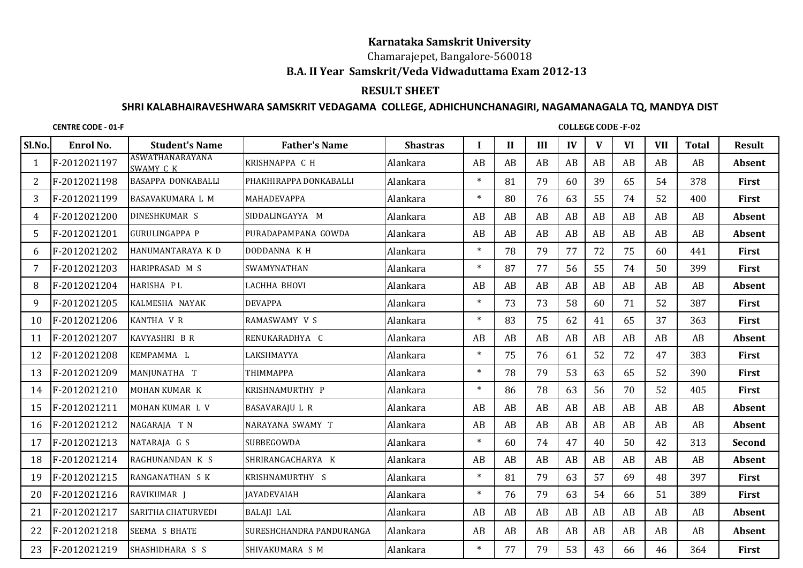## **Karnataka Samskrit University**

## Chamarajepet, Bangalore-560018 **B.A. II Year Samskrit/Veda Vidwaduttama Exam 2012-13**

## **RESULT SHEET**

## **SHRI KALABHAIRAVESHWARA SAMSKRIT VEDAGAMA COLLEGE, ADHICHUNCHANAGIRI, NAGAMANAGALA TQ, MANDYA DIST**

**CENTRE CODE - 01-F**

**COLLEGE CODE -F-02**

| Sl.No. | <b>Enrol No.</b> | <b>Student's Name</b>               | <b>Father's Name</b>     | <b>Shastras</b> | I      | $\mathbf{I}$ | III | IV | V  | <b>VI</b> | <b>VII</b> | <b>Total</b> | <b>Result</b> |
|--------|------------------|-------------------------------------|--------------------------|-----------------|--------|--------------|-----|----|----|-----------|------------|--------------|---------------|
|        | F-2012021197     | <b>ASWATHANARAYANA</b><br>SWAMY C K | KRISHNAPPA C H           | Alankara        | AB     | AB           | AB  | AB | AB | AB        | AB         | AB           | Absent        |
| 2      | F-2012021198     | <b>BASAPPA DONKABALLI</b>           | PHAKHIRAPPA DONKABALLI   | Alankara        | $\ast$ | 81           | 79  | 60 | 39 | 65        | 54         | 378          | <b>First</b>  |
| 3      | F-2012021199     | BASAVAKUMARA L M                    | <b>MAHADEVAPPA</b>       | Alankara        | $\ast$ | 80           | 76  | 63 | 55 | 74        | 52         | 400          | <b>First</b>  |
| 4      | F-2012021200     | DINESHKUMAR S                       | SIDDALINGAYYA M          | Alankara        | AB     | AB           | AB  | AB | AB | AB        | AB         | AB           | Absent        |
| 5      | F-2012021201     | <b>GURULINGAPPA P</b>               | PURADAPAMPANA GOWDA      | Alankara        | AB     | AB           | AB  | AB | AB | AB        | AB         | AB           | <b>Absent</b> |
| 6      | F-2012021202     | HANUMANTARAYA K D                   | DODDANNA K H             | Alankara        | $\ast$ | 78           | 79  | 77 | 72 | 75        | 60         | 441          | <b>First</b>  |
| 7      | F-2012021203     | HARIPRASAD M S                      | SWAMYNATHAN              | Alankara        | $\ast$ | 87           | 77  | 56 | 55 | 74        | 50         | 399          | First         |
| 8      | F-2012021204     | HARISHA PL                          | <b>LACHHA BHOVI</b>      | Alankara        | AB     | AB           | AB  | AB | AB | AB        | AB         | AB           | Absent        |
| 9      | F-2012021205     | KALMESHA NAYAK                      | <b>DEVAPPA</b>           | Alankara        | $\ast$ | 73           | 73  | 58 | 60 | 71        | 52         | 387          | <b>First</b>  |
| 10     | F-2012021206     | KANTHA V R                          | RAMASWAMY V S            | Alankara        | $\ast$ | 83           | 75  | 62 | 41 | 65        | 37         | 363          | <b>First</b>  |
| 11     | F-2012021207     | KAVYASHRI B R                       | RENUKARADHYA C           | Alankara        | AB     | AB           | AB  | AB | AB | AB        | AB         | AB           | Absent        |
| 12     | F-2012021208     | KEMPAMMA L                          | LAKSHMAYYA               | Alankara        | $\ast$ | 75           | 76  | 61 | 52 | 72        | 47         | 383          | <b>First</b>  |
| 13     | F-2012021209     | MANJUNATHA T                        | <b>ТНІММАРРА</b>         | Alankara        | $\ast$ | 78           | 79  | 53 | 63 | 65        | 52         | 390          | <b>First</b>  |
| 14     | F-2012021210     | MOHAN KUMAR K                       | KRISHNAMURTHY P          | Alankara        | $\ast$ | 86           | 78  | 63 | 56 | 70        | 52         | 405          | <b>First</b>  |
| 15     | F-2012021211     | MOHAN KUMAR L V                     | <b>BASAVARAJU L R</b>    | Alankara        | AB     | AB           | AB  | AB | AB | AB        | AB         | AB           | <b>Absent</b> |
| 16     | F-2012021212     | NAGARAJA T N                        | NARAYANA SWAMY T         | Alankara        | AB     | AB           | AB  | AB | AB | AB        | AB         | AB           | Absent        |
| 17     | F-2012021213     | NATARAJA G S                        | <b>SUBBEGOWDA</b>        | Alankara        | $\ast$ | 60           | 74  | 47 | 40 | 50        | 42         | 313          | <b>Second</b> |
| 18     | F-2012021214     | RAGHUNANDAN K S                     | SHRIRANGACHARYA K        | Alankara        | AB     | AB           | AB  | AB | AB | AB        | AB         | AB           | Absent        |
| 19     | F-2012021215     | RANGANATHAN S K                     | <b>KRISHNAMURTHY S</b>   | Alankara        | $\ast$ | 81           | 79  | 63 | 57 | 69        | 48         | 397          | First         |
| 20     | F-2012021216     | RAVIKUMAR J                         | <b>JAYADEVAIAH</b>       | Alankara        | $\ast$ | 76           | 79  | 63 | 54 | 66        | 51         | 389          | <b>First</b>  |
| 21     | F-2012021217     | SARITHA CHATURVEDI                  | <b>BALAJI LAL</b>        | Alankara        | AB     | AB           | AB  | AB | AB | AB        | AB         | AB           | Absent        |
| 22     | F-2012021218     | <b>SEEMA S BHATE</b>                | SURESHCHANDRA PANDURANGA | Alankara        | AB     | AB           | AB  | AB | AB | AB        | AB         | AB           | Absent        |
| 23     | F-2012021219     | SHASHIDHARA S S                     | SHIVAKUMARA S M          | Alankara        | $\ast$ | 77           | 79  | 53 | 43 | 66        | 46         | 364          | <b>First</b>  |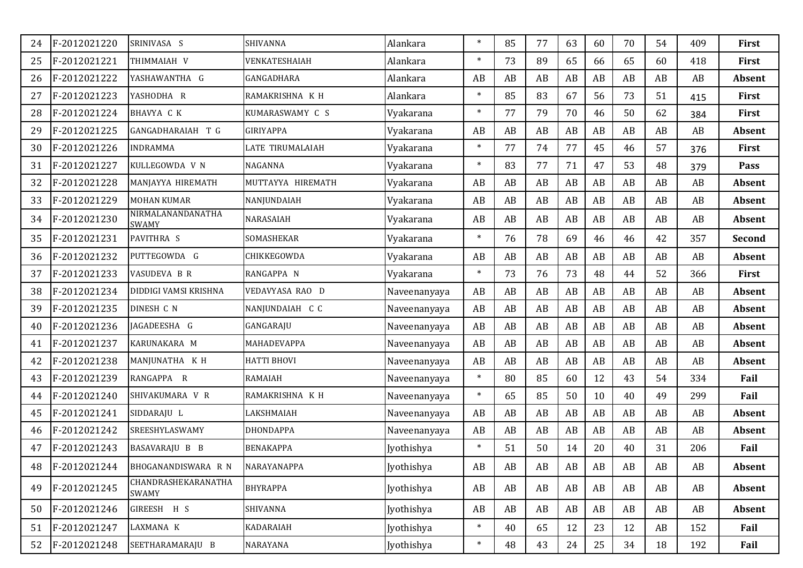| 24 | F-2012021220 | SRINIVASA S                       | SHIVANNA           | Alankara     | $\ast$ | 85 | 77 | 63 | 60 | 70 | 54 | 409 | <b>First</b>  |
|----|--------------|-----------------------------------|--------------------|--------------|--------|----|----|----|----|----|----|-----|---------------|
| 25 | F-2012021221 | THIMMAIAH V                       | VENKATESHAIAH      | Alankara     | $\ast$ | 73 | 89 | 65 | 66 | 65 | 60 | 418 | <b>First</b>  |
| 26 | F-2012021222 | YASHAWANTHA G                     | GANGADHARA         | Alankara     | AB     | AB | AB | AB | AB | AB | AB | AB  | <b>Absent</b> |
| 27 | F-2012021223 | YASHODHA R                        | RAMAKRISHNA K H    | Alankara     | $\ast$ | 85 | 83 | 67 | 56 | 73 | 51 | 415 | <b>First</b>  |
| 28 | F-2012021224 | BHAVYA C K                        | KUMARASWAMY C S    | Vyakarana    | $\ast$ | 77 | 79 | 70 | 46 | 50 | 62 | 384 | First         |
| 29 | F-2012021225 | GANGADHARAIAH T G                 | GIRIYAPPA          | Vyakarana    | AB     | AB | AB | AB | AB | AB | AB | AB  | <b>Absent</b> |
| 30 | F-2012021226 | <b>INDRAMMA</b>                   | LATE TIRUMALAIAH   | Vyakarana    | $\ast$ | 77 | 74 | 77 | 45 | 46 | 57 | 376 | <b>First</b>  |
| 31 | F-2012021227 | KULLEGOWDA V N                    | NAGANNA            | Vyakarana    | $\ast$ | 83 | 77 | 71 | 47 | 53 | 48 | 379 | Pass          |
| 32 | F-2012021228 | MANJAYYA HIREMATH                 | MUTTAYYA HIREMATH  | Vyakarana    | AB     | AB | AB | AB | AB | AB | AB | AB  | <b>Absent</b> |
| 33 | F-2012021229 | MOHAN KUMAR                       | NANJUNDAIAH        | Vyakarana    | AB     | AB | AB | AB | AB | AB | AB | AB  | Absent        |
| 34 | F-2012021230 | NIRMALANANDANATHA<br><b>SWAMY</b> | NARASAIAH          | Vyakarana    | AB     | AB | AB | AB | AB | AB | AB | AB  | Absent        |
| 35 | F-2012021231 | PAVITHRA S                        | SOMASHEKAR         | Vyakarana    | $\ast$ | 76 | 78 | 69 | 46 | 46 | 42 | 357 | <b>Second</b> |
| 36 | F-2012021232 | PUTTEGOWDA G                      | CHIKKEGOWDA        | Vyakarana    | AB     | AB | AB | AB | AB | AB | AB | AB  | Absent        |
| 37 | F-2012021233 | VASUDEVA B R                      | RANGAPPA N         | Vyakarana    | $\ast$ | 73 | 76 | 73 | 48 | 44 | 52 | 366 | First         |
| 38 | F-2012021234 | DIDDIGI VAMSI KRISHNA             | VEDAVYASA RAO D    | Naveenanyaya | AB     | AB | AB | AB | AB | AB | AB | AB  | <b>Absent</b> |
| 39 | F-2012021235 | DINESH C N                        | NANJUNDAIAH C C    | Naveenanyaya | AB     | AB | AB | AB | AB | AB | AB | AB  | Absent        |
| 40 | F-2012021236 | JAGADEESHA G                      | GANGARAJU          | Naveenanyaya | AB     | AB | AB | AB | AB | AB | AB | AB  | Absent        |
| 41 | F-2012021237 | KARUNAKARA M                      | MAHADEVAPPA        | Naveenanyaya | AB     | AB | AB | AB | AB | AB | AB | AB  | <b>Absent</b> |
| 42 | F-2012021238 | MANJUNATHA K H                    | <b>HATTI BHOVI</b> | Naveenanyaya | AB     | AB | AB | AB | AB | AB | AB | AB  | Absent        |
| 43 | F-2012021239 | RANGAPPA R                        | <b>RAMAIAH</b>     | Naveenanyaya | $\ast$ | 80 | 85 | 60 | 12 | 43 | 54 | 334 | Fail          |
| 44 | F-2012021240 | SHIVAKUMARA V R                   | RAMAKRISHNA K H    | Naveenanyaya | $\ast$ | 65 | 85 | 50 | 10 | 40 | 49 | 299 | Fail          |
| 45 | F-2012021241 | SIDDARAJU L                       | LAKSHMAIAH         | Naveenanyaya | AB     | AB | AB | AB | AB | AB | AB | AB  | Absent        |
| 46 | F-2012021242 | SREESHYLASWAMY                    | <b>DHONDAPPA</b>   | Naveenanyaya | AB     | AB | AB | AB | AB | AB | AB | AB  | Absent        |
| 47 | F-2012021243 | BASAVARAJU B B                    | <b>BENAKAPPA</b>   | Jyothishya   | $\ast$ | 51 | 50 | 14 | 20 | 40 | 31 | 206 | Fail          |
| 48 | F-2012021244 | BHOGANANDISWARA R N               | NARAYANAPPA        | Jyothishya   | AB     | AB | AB | AB | AB | AB | AB | AB  | Absent        |
| 49 | F-2012021245 | CHANDRASHEKARANATHA<br>SWAMY      | <b>BHYRAPPA</b>    | Jyothishya   | AB     | AB | AB | AB | AB | AB | AB | AB  | Absent        |
| 50 | F-2012021246 | GIREESH H S                       | SHIVANNA           | Jyothishya   | AB     | AB | AB | AB | AB | AB | AB | AB  | Absent        |
| 51 | F-2012021247 | LAXMANA K                         | <b>KADARAIAH</b>   | Jyothishya   | $\ast$ | 40 | 65 | 12 | 23 | 12 | AB | 152 | Fail          |
| 52 | F-2012021248 | SEETHARAMARAJU B                  | NARAYANA           | Jyothishya   | $\ast$ | 48 | 43 | 24 | 25 | 34 | 18 | 192 | Fail          |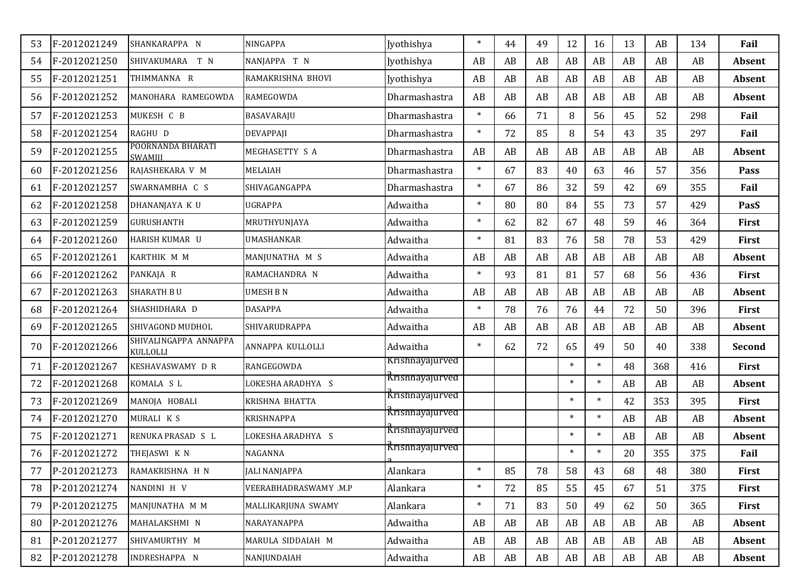| 53 | F-2012021249 | SHANKARAPPA N                       | NINGAPPA              | Jyothishya             | $\ast$ | 44 | 49 | 12     | 16     | 13 | AB  | 134 | Fail          |
|----|--------------|-------------------------------------|-----------------------|------------------------|--------|----|----|--------|--------|----|-----|-----|---------------|
| 54 | F-2012021250 | SHIVAKUMARA T N                     | NANJAPPA T N          | Jyothishya             | AB     | AB | AB | AB     | AB     | AB | AB  | AB  | Absent        |
| 55 | F-2012021251 | THIMMANNA R                         | RAMAKRISHNA BHOVI     | Jyothishya             | AB     | AB | AB | AB     | AB     | AB | AB  | AB  | <b>Absent</b> |
| 56 | F-2012021252 | MANOHARA RAMEGOWDA                  | <b>RAMEGOWDA</b>      | Dharmashastra          | AB     | AB | AB | AB     | AB     | AB | AB  | AB  | Absent        |
| 57 | F-2012021253 | MUKESH C B                          | BASAVARAJU            | Dharmashastra          | $\ast$ | 66 | 71 | 8      | 56     | 45 | 52  | 298 | Fail          |
| 58 | F-2012021254 | RAGHU D                             | <b>DEVAPPAJI</b>      | Dharmashastra          | $\ast$ | 72 | 85 | 8      | 54     | 43 | 35  | 297 | Fail          |
| 59 | F-2012021255 | POORNANDA BHARATI<br><b>SWAMIII</b> | MEGHASETTY S A        | Dharmashastra          | AB     | AB | AB | AB     | AB     | AB | AB  | AB  | <b>Absent</b> |
| 60 | F-2012021256 | RAJASHEKARA V M                     | MELAIAH               | Dharmashastra          | $\ast$ | 67 | 83 | 40     | 63     | 46 | 57  | 356 | Pass          |
| 61 | F-2012021257 | SWARNAMBHA C S                      | SHIVAGANGAPPA         | Dharmashastra          | $\ast$ | 67 | 86 | 32     | 59     | 42 | 69  | 355 | Fail          |
| 62 | F-2012021258 | DHANANJAYA K U                      | <b>UGRAPPA</b>        | Adwaitha               | $\ast$ | 80 | 80 | 84     | 55     | 73 | 57  | 429 | PasS          |
| 63 | F-2012021259 | <b>GURUSHANTH</b>                   | MRUTHYUNJAYA          | Adwaitha               | $\ast$ | 62 | 82 | 67     | 48     | 59 | 46  | 364 | <b>First</b>  |
| 64 | F-2012021260 | HARISH KUMAR U                      | UMASHANKAR            | Adwaitha               | $\ast$ | 81 | 83 | 76     | 58     | 78 | 53  | 429 | <b>First</b>  |
| 65 | F-2012021261 | KARTHIK M M                         | MANJUNATHA M S        | Adwaitha               | AB     | AB | AB | AB     | AB     | AB | AB  | AB  | Absent        |
| 66 | F-2012021262 | PANKAIA R                           | RAMACHANDRA N         | Adwaitha               | $\ast$ | 93 | 81 | 81     | 57     | 68 | 56  | 436 | <b>First</b>  |
| 67 | F-2012021263 | <b>SHARATH BU</b>                   | <b>UMESH B N</b>      | Adwaitha               | AB     | AB | AB | AB     | AB     | AB | AB  | AB  | Absent        |
| 68 | F-2012021264 | SHASHIDHARA D                       | <b>DASAPPA</b>        | Adwaitha               | $\ast$ | 78 | 76 | 76     | 44     | 72 | 50  | 396 | <b>First</b>  |
| 69 | F-2012021265 | SHIVAGOND MUDHOL                    | SHIVARUDRAPPA         | Adwaitha               | AB     | AB | AB | AB     | AB     | AB | AB  | AB  | Absent        |
| 70 | F-2012021266 | SHIVALINGAPPA ANNAPPA<br>KULLOLLI   | ANNAPPA KULLOLLI      | Adwaitha               | $\ast$ | 62 | 72 | 65     | 49     | 50 | 40  | 338 | <b>Second</b> |
| 71 | F-2012021267 | KESHAVASWAMY D R                    | RANGEGOWDA            | Krishnayajurved        |        |    |    | $\ast$ | $\ast$ | 48 | 368 | 416 | First         |
| 72 | F-2012021268 | KOMALA S L                          | LOKESHA ARADHYA S     | <u>Krishnayajurved</u> |        |    |    | $\ast$ | $\ast$ | AB | AB  | AB  | Absent        |
| 73 | F-2012021269 | MANOJA HOBALI                       | KRISHNA BHATTA        | <b>Krishnayajurved</b> |        |    |    | $\ast$ | $\ast$ | 42 | 353 | 395 | <b>First</b>  |
| 74 | F-2012021270 | MURALI K S                          | <b>KRISHNAPPA</b>     | <b>Krishnayajurved</b> |        |    |    | $\ast$ | $\ast$ | AB | AB  | AB  | Absent        |
| 75 | F-2012021271 | RENUKA PRASAD S L                   | LOKESHA ARADHYA S     | Krishnayajurved        |        |    |    | $\ast$ | $\ast$ | AB | AB  | AB  | Absent        |
| 76 | F-2012021272 | THEJASWI K N                        | NAGANNA               | <b>Krishnayajurved</b> |        |    |    | $\ast$ | $\ast$ | 20 | 355 | 375 | Fail          |
| 77 | P-2012021273 | RAMAKRISHNA H N                     | <b>JALI NANJAPPA</b>  | Alankara               | $\ast$ | 85 | 78 | 58     | 43     | 68 | 48  | 380 | First         |
| 78 | P-2012021274 | NANDINI H V                         | VEERABHADRASWAMY .M.P | Alankara               | $\ast$ | 72 | 85 | 55     | 45     | 67 | 51  | 375 | First         |
| 79 | P-2012021275 | MANJUNATHA M M                      | MALLIKARJUNA SWAMY    | Alankara               | $\ast$ | 71 | 83 | 50     | 49     | 62 | 50  | 365 | First         |
| 80 | P-2012021276 | MAHALAKSHMI N                       | NARAYANAPPA           | Adwaitha               | AB     | AB | AB | AB     | AB     | AB | AB  | AB  | Absent        |
| 81 | P-2012021277 | SHIVAMURTHY M                       | MARULA SIDDAIAH M     | Adwaitha               | AB     | AB | AB | AB     | AB     | AB | AB  | AB  | Absent        |
| 82 | P-2012021278 | INDRESHAPPA N                       | NANJUNDAIAH           | Adwaitha               | AB     | AB | AB | AB     | AB     | AB | AB  | AB  | Absent        |